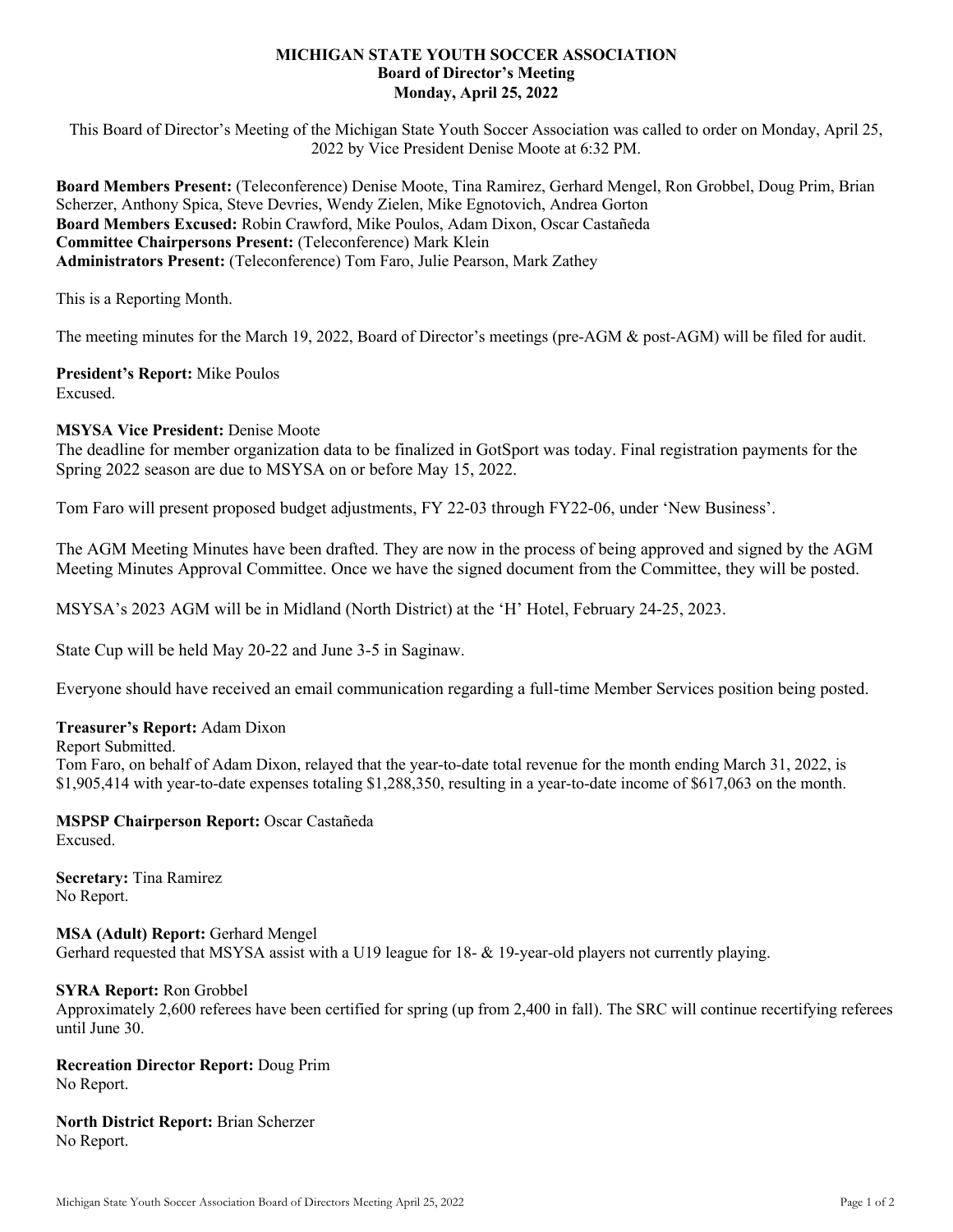## **MICHIGAN STATE YOUTH SOCCER ASSOCIATION Board of Director's Meeting Monday, April 25, 2022**

This Board of Director's Meeting of the Michigan State Youth Soccer Association was called to order on Monday, April 25, 2022 by Vice President Denise Moote at 6:32 PM.

**Board Members Present:** (Teleconference) Denise Moote, Tina Ramirez, Gerhard Mengel, Ron Grobbel, Doug Prim, Brian Scherzer, Anthony Spica, Steve Devries, Wendy Zielen, Mike Egnotovich, Andrea Gorton **Board Members Excused:** Robin Crawford, Mike Poulos, Adam Dixon, Oscar Castañeda **Committee Chairpersons Present:** (Teleconference) Mark Klein **Administrators Present:** (Teleconference) Tom Faro, Julie Pearson, Mark Zathey

This is a Reporting Month.

The meeting minutes for the March 19, 2022, Board of Director's meetings (pre-AGM & post-AGM) will be filed for audit.

**President's Report:** Mike Poulos Excused.

## **MSYSA Vice President:** Denise Moote

The deadline for member organization data to be finalized in GotSport was today. Final registration payments for the Spring 2022 season are due to MSYSA on or before May 15, 2022.

Tom Faro will present proposed budget adjustments, FY 22-03 through FY22-06, under 'New Business'.

The AGM Meeting Minutes have been drafted. They are now in the process of being approved and signed by the AGM Meeting Minutes Approval Committee. Once we have the signed document from the Committee, they will be posted.

MSYSA's 2023 AGM will be in Midland (North District) at the 'H' Hotel, February 24-25, 2023.

State Cup will be held May 20-22 and June 3-5 in Saginaw.

Everyone should have received an email communication regarding a full-time Member Services position being posted.

### **Treasurer's Report:** Adam Dixon

Report Submitted.

Tom Faro, on behalf of Adam Dixon, relayed that the year-to-date total revenue for the month ending March 31, 2022, is \$1,905,414 with year-to-date expenses totaling \$1,288,350, resulting in a year-to-date income of \$617,063 on the month.

# **MSPSP Chairperson Report:** Oscar Castañeda

Excused.

**Secretary:** Tina Ramirez No Report.

# **MSA (Adult) Report:** Gerhard Mengel

Gerhard requested that MSYSA assist with a U19 league for 18- & 19-year-old players not currently playing.

### **SYRA Report:** Ron Grobbel

Approximately 2,600 referees have been certified for spring (up from 2,400 in fall). The SRC will continue recertifying referees until June 30.

### **Recreation Director Report:** Doug Prim No Report.

**North District Report:** Brian Scherzer No Report.